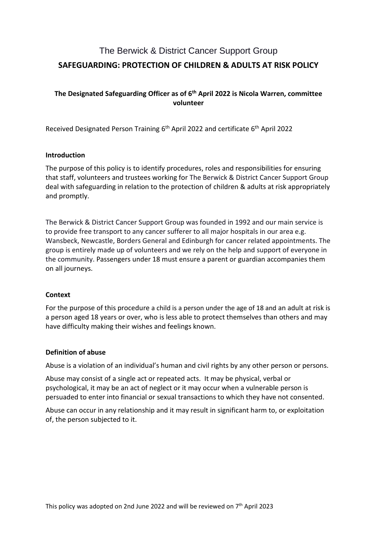# The Berwick & District Cancer Support Group **SAFEGUARDING: PROTECTION OF CHILDREN & ADULTS AT RISK POLICY**

## **The Designated Safeguarding Officer as of 6 th April 2022 is Nicola Warren, committee volunteer**

Received Designated Person Training 6<sup>th</sup> April 2022 and certificate 6<sup>th</sup> April 2022

#### **Introduction**

The purpose of this policy is to identify procedures, roles and responsibilities for ensuring that staff, volunteers and trustees working for The Berwick & District Cancer Support Group deal with safeguarding in relation to the protection of children & adults at risk appropriately and promptly.

The Berwick & District Cancer Support Group was founded in 1992 and our main service is to provide free transport to any cancer sufferer to all major hospitals in our area e.g. Wansbeck, Newcastle, Borders General and Edinburgh for cancer related appointments. The group is entirely made up of volunteers and we rely on the help and support of everyone in the community. Passengers under 18 must ensure a parent or guardian accompanies them on all journeys.

## **Context**

For the purpose of this procedure a child is a person under the age of 18 and an adult at risk is a person aged 18 years or over, who is less able to protect themselves than others and may have difficulty making their wishes and feelings known.

#### **Definition of abuse**

Abuse is a violation of an individual's human and civil rights by any other person or persons.

Abuse may consist of a single act or repeated acts. It may be physical, verbal or psychological, it may be an act of neglect or it may occur when a vulnerable person is persuaded to enter into financial or sexual transactions to which they have not consented.

Abuse can occur in any relationship and it may result in significant harm to, or exploitation of, the person subjected to it.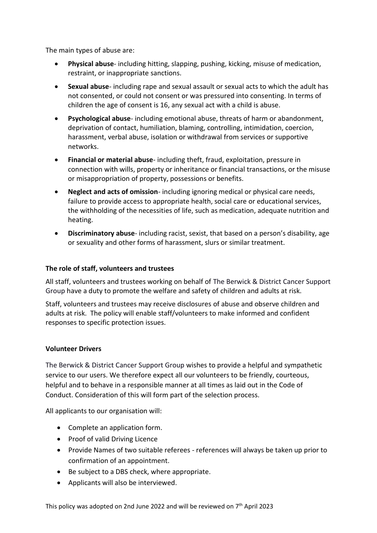The main types of abuse are:

- **Physical abuse** including hitting, slapping, pushing, kicking, misuse of medication, restraint, or inappropriate sanctions.
- **Sexual abuse** including rape and sexual assault or sexual acts to which the adult has not consented, or could not consent or was pressured into consenting. In terms of children the age of consent is 16, any sexual act with a child is abuse.
- **Psychological abuse** including emotional abuse, threats of harm or abandonment, deprivation of contact, humiliation, blaming, controlling, intimidation, coercion, harassment, verbal abuse, isolation or withdrawal from services or supportive networks.
- **Financial or material abuse** including theft, fraud, exploitation, pressure in connection with wills, property or inheritance or financial transactions, or the misuse or misappropriation of property, possessions or benefits.
- **Neglect and acts of omission** including ignoring medical or physical care needs, failure to provide access to appropriate health, social care or educational services, the withholding of the necessities of life, such as medication, adequate nutrition and heating.
- **Discriminatory abuse** including racist, sexist, that based on a person's disability, age or sexuality and other forms of harassment, slurs or similar treatment.

## **The role of staff, volunteers and trustees**

All staff, volunteers and trustees working on behalf of The Berwick & District Cancer Support Group have a duty to promote the welfare and safety of children and adults at risk.

Staff, volunteers and trustees may receive disclosures of abuse and observe children and adults at risk. The policy will enable staff/volunteers to make informed and confident responses to specific protection issues.

#### **Volunteer Drivers**

The Berwick & District Cancer Support Group wishes to provide a helpful and sympathetic service to our users. We therefore expect all our volunteers to be friendly, courteous, helpful and to behave in a responsible manner at all times as laid out in the Code of Conduct. Consideration of this will form part of the selection process.

All applicants to our organisation will:

- Complete an application form.
- Proof of valid Driving Licence
- Provide Names of two suitable referees references will always be taken up prior to confirmation of an appointment.
- Be subject to a DBS check, where appropriate.
- Applicants will also be interviewed.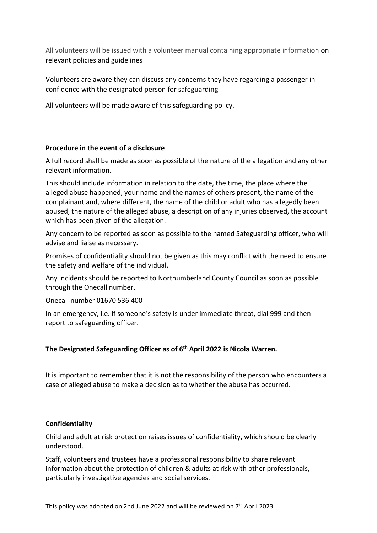All volunteers will be issued with a volunteer manual containing appropriate information on relevant policies and guidelines

Volunteers are aware they can discuss any concerns they have regarding a passenger in confidence with the designated person for safeguarding

All volunteers will be made aware of this safeguarding policy.

#### **Procedure in the event of a disclosure**

A full record shall be made as soon as possible of the nature of the allegation and any other relevant information.

This should include information in relation to the date, the time, the place where the alleged abuse happened, your name and the names of others present, the name of the complainant and, where different, the name of the child or adult who has allegedly been abused, the nature of the alleged abuse, a description of any injuries observed, the account which has been given of the allegation.

Any concern to be reported as soon as possible to the named Safeguarding officer, who will advise and liaise as necessary.

Promises of confidentiality should not be given as this may conflict with the need to ensure the safety and welfare of the individual.

Any incidents should be reported to Northumberland County Council as soon as possible through the Onecall number.

Onecall number 01670 536 400

In an emergency, i.e. if someone's safety is under immediate threat, dial 999 and then report to safeguarding officer.

## **The Designated Safeguarding Officer as of 6 th April 2022 is Nicola Warren.**

It is important to remember that it is not the responsibility of the person who encounters a case of alleged abuse to make a decision as to whether the abuse has occurred.

#### **Confidentiality**

Child and adult at risk protection raises issues of confidentiality, which should be clearly understood.

Staff, volunteers and trustees have a professional responsibility to share relevant information about the protection of children & adults at risk with other professionals, particularly investigative agencies and social services.